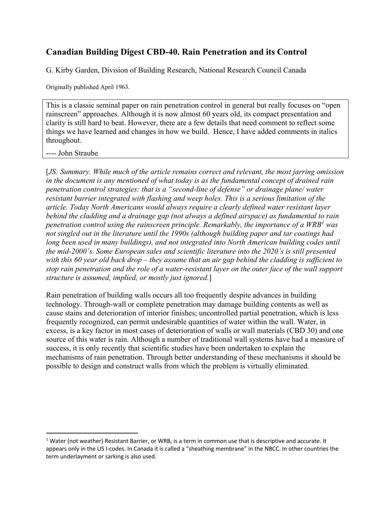## **Canadian Building Digest CBD-40. Rain Penetration and its Control**

G. Kirby Garden, Division of Building Research, National Research Council Canada

Originally published April 1963.

This is a classic seminal paper on rain penetration control in general but really focuses on "open rainscreen" approaches. Although it is now almost 60 years old, its compact presentation and clarity is still hard to beat. However, there are a few details that need comment to reflect some things we have learned and changes in how we build. Hence, I have added comments in italics throughout.

---- John Straube

[*JS: Summary. While much of the article remains correct and relevant, the most jarring omission in the document is any mentioned of what today is as the fundamental concept of drained rain penetration control strategies: that is a "second-line of defense" or drainage plane/ water resistant barrier integrated with flashing and weep holes. This is a serious limitation of the article. Today North Americans would always require a clearly defined water resistant layer behind the cladding and a drainage gap (not always a defined airspace) as fundamental to rain penetration control using the rainscreen principle. Remarkably, the importance of a WRB1 was not singled out in the literature until the 1990s (although building paper and tar coatings had*  long been used in many buildings), and not integrated into North American building codes until *the mid-2000's. Some European sales and scientific literature into the 2020's is still presented with this 60 year old back drop – they assume that an air gap behind the cladding is sufficient to stop rain penetration and the role of a water-resistant layer on the outer face of the wall support structure is assumed, implied, or mostly just ignored.*]

Rain penetration of building walls occurs all too frequently despite advances in building technology. Through-wall or complete penetration may damage building contents as well as cause stains and deterioration of interior finishes; uncontrolled partial penetration, which is less frequently recognized, can permit undesirable quantities of water within the wall. Water, in excess, is a key factor in most cases of deterioration of walls or wall materials (CBD 30) and one source of this water is rain. Although a number of traditional wall systems have had a measure of success, it is only recently that scientific studies have been undertaken to explain the mechanisms of rain penetration. Through better understanding of these mechanisms it should be possible to design and construct walls from which the problem is virtually eliminated.

<sup>1</sup> Water (not weather) Resistant Barrier, or WRB, is a term in common use that is descriptive and accurate. It appears only in the US I-codes. In Canada it is called a "sheathing membrane" in the NBCC. In other countries the term underlayment or sarking is also used.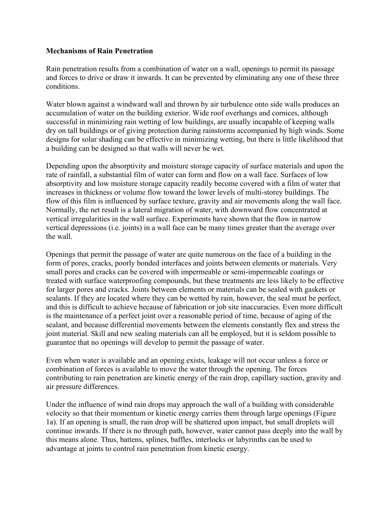## **Mechanisms of Rain Penetration**

Rain penetration results from a combination of water on a wall, openings to permit its passage and forces to drive or draw it inwards. It can be prevented by eliminating any one of these three conditions.

Water blown against a windward wall and thrown by air turbulence onto side walls produces an accumulation of water on the building exterior. Wide roof overhangs and cornices, although successful in minimizing rain wetting of low buildings, are usually incapable of keeping walls dry on tall buildings or of giving protection during rainstorms accompanied by high winds. Some designs for solar shading can be effective in minimizing wetting, but there is little likelihood that a building can be designed so that walls will never be wet.

Depending upon the absorptivity and moisture storage capacity of surface materials and upon the rate of rainfall, a substantial film of water can form and flow on a wall face. Surfaces of low absorptivity and low moisture storage capacity readily become covered with a film of water that increases in thickness or volume flow toward the lower levels of multi-storey buildings. The flow of this film is influenced by surface texture, gravity and air movements along the wall face. Normally, the net result is a lateral migration of water, with downward flow concentrated at vertical irregularities in the wall surface. Experiments have shown that the flow in narrow vertical depressions (i.e. joints) in a wall face can be many times greater than the average over the wall.

Openings that permit the passage of water are quite numerous on the face of a building in the form of pores, cracks, poorly bonded interfaces and joints between elements or materials. Very small pores and cracks can be covered with impermeable or semi-impermeable coatings or treated with surface waterproofing compounds, but these treatments are less likely to be effective for larger pores and cracks. Joints between elements or materials can be sealed with gaskets or sealants. If they are located where they can be wetted by rain, however, the seal must be perfect, and this is difficult to achieve because of fabrication or job site inaccuracies. Even more difficult is the maintenance of a perfect joint over a reasonable period of time, because of aging of the sealant, and because differential movements between the elements constantly flex and stress the joint material. Skill and new sealing materials can all be employed, but it is seldom possible to guarantee that no openings will develop to permit the passage of water.

Even when water is available and an opening exists, leakage will not occur unless a force or combination of forces is available to move the water through the opening. The forces contributing to rain penetration are kinetic energy of the rain drop, capillary suction, gravity and air pressure differences.

Under the influence of wind rain drops may approach the wall of a building with considerable velocity so that their momentum or kinetic energy carries them through large openings (Figure 1a). If an opening is small, the rain drop will be shattered upon impact, but small droplets will continue inwards. If there is no through path, however, water cannot pass deeply into the wall by this means alone. Thus, battens, splines, baffles, interlocks or labyrinths can be used to advantage at joints to control rain penetration from kinetic energy.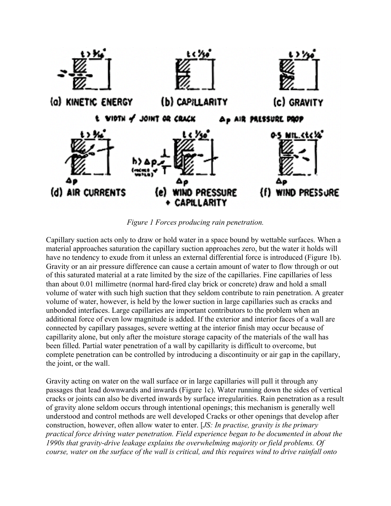

*Figure 1 Forces producing rain penetration.*

Capillary suction acts only to draw or hold water in a space bound by wettable surfaces. When a material approaches saturation the capillary suction approaches zero, but the water it holds will have no tendency to exude from it unless an external differential force is introduced (Figure 1b). Gravity or an air pressure difference can cause a certain amount of water to flow through or out of this saturated material at a rate limited by the size of the capillaries. Fine capillaries of less than about 0.01 millimetre (normal hard-fired clay brick or concrete) draw and hold a small volume of water with such high suction that they seldom contribute to rain penetration. A greater volume of water, however, is held by the lower suction in large capillaries such as cracks and unbonded interfaces. Large capillaries are important contributors to the problem when an additional force of even low magnitude is added. If the exterior and interior faces of a wall are connected by capillary passages, severe wetting at the interior finish may occur because of capillarity alone, but only after the moisture storage capacity of the materials of the wall has been filled. Partial water penetration of a wall by capillarity is difficult to overcome, but complete penetration can be controlled by introducing a discontinuity or air gap in the capillary, the joint, or the wall.

Gravity acting on water on the wall surface or in large capillaries will pull it through any passages that lead downwards and inwards (Figure 1c). Water running down the sides of vertical cracks or joints can also be diverted inwards by surface irregularities. Rain penetration as a result of gravity alone seldom occurs through intentional openings; this mechanism is generally well understood and control methods are well developed Cracks or other openings that develop after construction, however, often allow water to enter. [*JS: In practise, gravity is the primary practical force driving water penetration. Field experience began to be documented in about the 1990s that gravity-drive leakage explains the overwhelming majority or field problems. Of course, water on the surface of the wall is critical, and this requires wind to drive rainfall onto*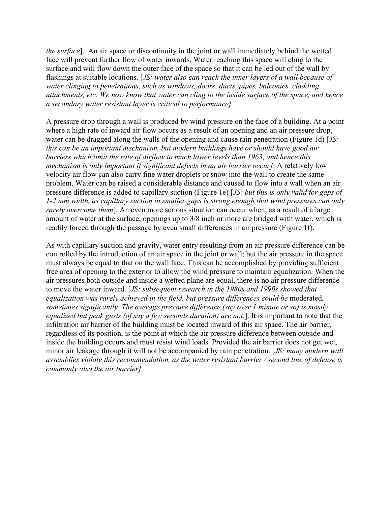*the surface*]. An air space or discontinuity in the joint or wall immediately behind the wetted face will prevent further flow of water inwards. Water reaching this space will cling to the surface and will flow down the outer face of the space so that it can be led out of the wall by flashings at suitable locations. [*JS: water also can reach the inner layers of a wall because of water clinging to penetrations, such as windows, doors, ducts, pipes, balconies, cladding attachments, etc. We now know that water can cling to the inside surface of the space, and hence a secondary water resistant layer is critical to performance].*

A pressure drop through a wall is produced by wind pressure on the face of a building. At a point where a high rate of inward air flow occurs as a result of an opening and an air pressure drop, water can be dragged along the walls of the opening and cause rain penetration (Figure 1d) [*JS: this can be an important mechanism, but modern buildings have or should have good air barriers which limit the rate of airflow to much lower levels than 1963, and hence this mechanism is only important if significant defects in an air barrier occur]*. A relatively low velocity air flow can also carry fine water droplets or snow into the wall to create the same problem. Water can be raised a considerable distance and caused to flow into a wall when an air pressure difference is added to capillary suction (Figure 1e) [*JS: but this is only valid for gaps of 1-2 mm width, as capillary suction in smaller gaps is strong enough that wind pressures can only rarely overcome them*]. An even more serious situation can occur when, as a result of a large amount of water at the surface, openings up to 3/8 inch or more are bridged with water, which is readily forced through the passage by even small differences in air pressure (Figure 1f).

As with capillary suction and gravity, water entry resulting from an air pressure difference can be controlled by the introduction of an air space in the joint or wall; but the air pressure in the space must always be equal to that on the wall face. This can be accomplished by providing sufficient free area of opening to the exterior to allow the wind pressure to maintain equalization. When the air pressures both outside and inside a wetted plane are equal, there is no air pressure difference to move the water inward. [*JS: subsequent research in the 1980s and 1990s showed that equalization was rarely achieved in the field, but pressure differences could be* moderated*, sometimes significantly. The average pressure difference (say over 1 minute or so) is mostly equalized but peak gusts (of say a few seconds duration) are not.*]. It is important to note that the infiltration air barrier of the building must be located inward of this air space. The air barrier, regardless of its position, is the point at which the air pressure difference between outside and inside the building occurs and must resist wind loads. Provided the air barrier does not get wet, minor air leakage through it will not be accompanied by rain penetration. [*JS: many modern wall assemblies violate this recommendation, as the water resistant barrier / second line of defense is commonly also the air barrier]*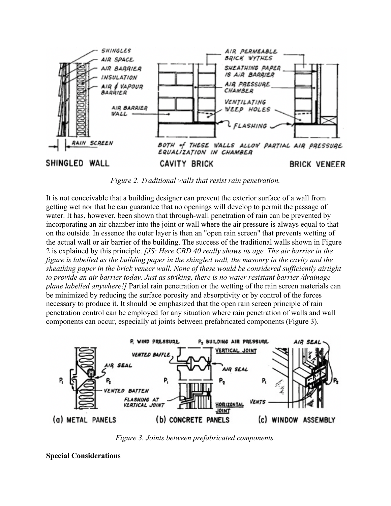

*Figure 2. Traditional walls that resist rain penetration.*

It is not conceivable that a building designer can prevent the exterior surface of a wall from getting wet nor that he can guarantee that no openings will develop to permit the passage of water. It has, however, been shown that through-wall penetration of rain can be prevented by incorporating an air chamber into the joint or wall where the air pressure is always equal to that on the outside. In essence the outer layer is then an "open rain screen" that prevents wetting of the actual wall or air barrier of the building. The success of the traditional walls shown in Figure 2 is explained by this principle. *[JS: Here CBD 40 really shows its age. The air barrier in the figure is labelled as the building paper in the shingled wall, the masonry in the cavity and the sheathing paper in the brick veneer wall. None of these would be considered sufficiently airtight to provide an air barrier today. Just as striking, there is no water resistant barrier /drainage plane labelled anywhere!]* Partial rain penetration or the wetting of the rain screen materials can be minimized by reducing the surface porosity and absorptivity or by control of the forces necessary to produce it. It should be emphasized that the open rain screen principle of rain penetration control can be employed for any situation where rain penetration of walls and wall components can occur, especially at joints between prefabricated components (Figure 3).



*Figure 3. Joints between prefabricated components.*

**Special Considerations**